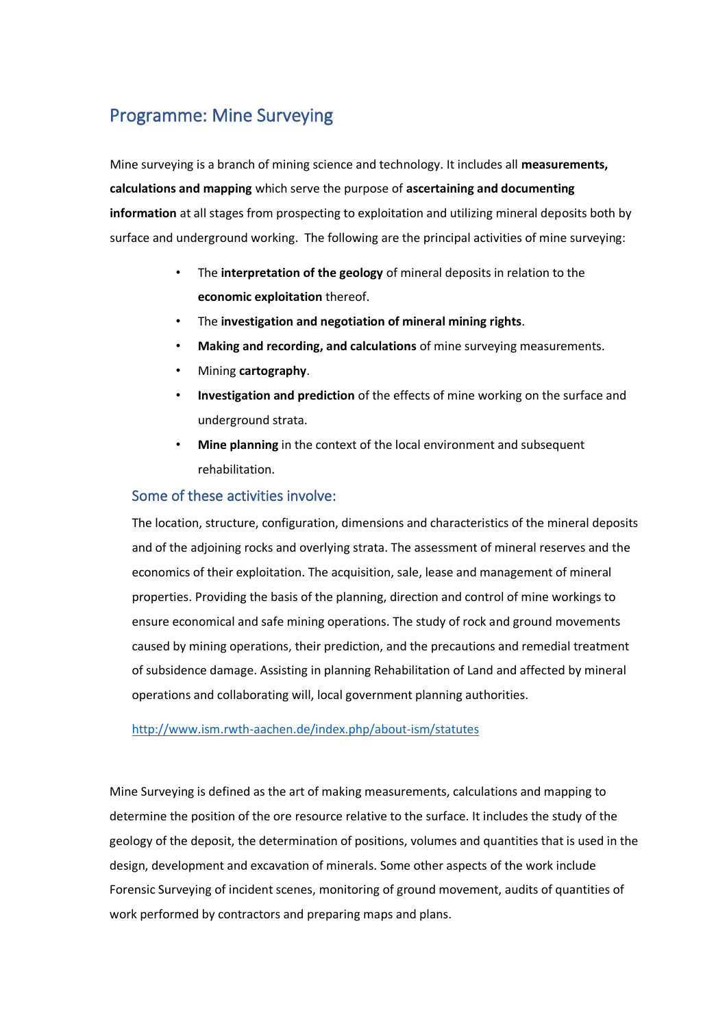# Programme: Mine Surveying

Mine surveying is a branch of mining science and technology. It includes all **measurements, calculations and mapping** which serve the purpose of **ascertaining and documenting information** at all stages from prospecting to exploitation and utilizing mineral deposits both by surface and underground working. The following are the principal activities of mine surveying:

- The **interpretation of the geology** of mineral deposits in relation to the **economic exploitation** thereof.
- The **investigation and negotiation of mineral mining rights**.
- **Making and recording, and calculations** of mine surveying measurements.
- Mining **cartography**.
- **Investigation and prediction** of the effects of mine working on the surface and underground strata.
- **Mine planning** in the context of the local environment and subsequent rehabilitation.

## Some of these activities involve:

The location, structure, configuration, dimensions and characteristics of the mineral deposits and of the adjoining rocks and overlying strata. The assessment of mineral reserves and the economics of their exploitation. The acquisition, sale, lease and management of mineral properties. Providing the basis of the planning, direction and control of mine workings to ensure economical and safe mining operations. The study of rock and ground movements caused by mining operations, their prediction, and the precautions and remedial treatment of subsidence damage. Assisting in planning Rehabilitation of Land and affected by mineral operations and collaborating will, local government planning authorities.

#### <http://www.ism.rwth-aachen.de/index.php/about-ism/statutes>

Mine Surveying is defined as the art of making measurements, calculations and mapping to determine the position of the ore resource relative to the surface. It includes the study of the geology of the deposit, the determination of positions, volumes and quantities that is used in the design, development and excavation of minerals. Some other aspects of the work include Forensic Surveying of incident scenes, monitoring of ground movement, audits of quantities of work performed by contractors and preparing maps and plans.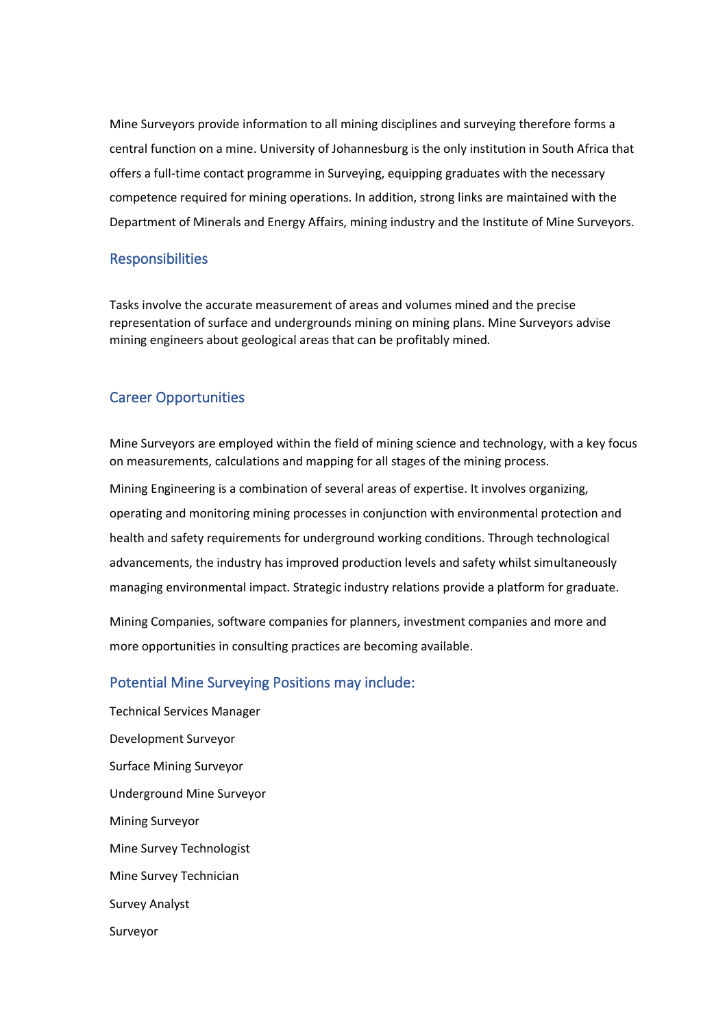Mine Surveyors provide information to all mining disciplines and surveying therefore forms a central function on a mine. University of Johannesburg is the only institution in South Africa that offers a full-time contact programme in Surveying, equipping graduates with the necessary competence required for mining operations. In addition, strong links are maintained with the Department of Minerals and Energy Affairs, mining industry and the Institute of Mine Surveyors.

#### Responsibilities

Tasks involve the accurate measurement of areas and volumes mined and the precise representation of surface and undergrounds mining on mining plans. Mine Surveyors advise mining engineers about geological areas that can be profitably mined.

# Career Opportunities

Mine Surveyors are employed within the field of mining science and technology, with a key focus on measurements, calculations and mapping for all stages of the mining process.

Mining Engineering is a combination of several areas of expertise. It involves organizing, operating and monitoring mining processes in conjunction with environmental protection and health and safety requirements for underground working conditions. Through technological advancements, the industry has improved production levels and safety whilst simultaneously managing environmental impact. Strategic industry relations provide a platform for graduate.

Mining Companies, software companies for planners, investment companies and more and more opportunities in consulting practices are becoming available.

## Potential Mine Surveying Positions may include:

Technical Services Manager Development Surveyor Surface Mining Surveyor Underground Mine Surveyor Mining Surveyor Mine Survey Technologist Mine Survey Technician Survey Analyst Surveyor